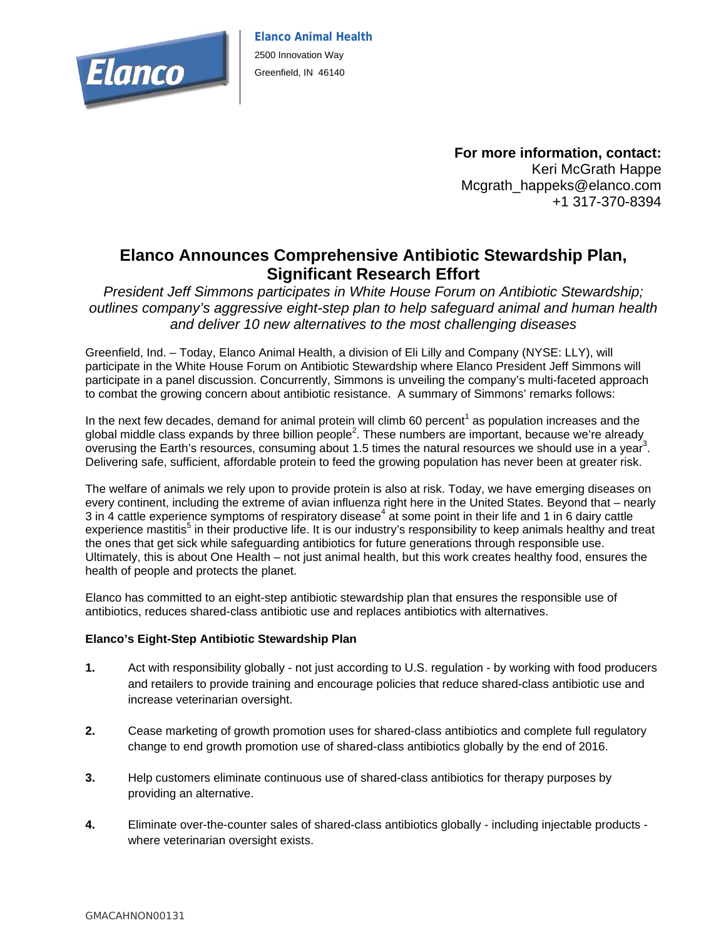

 **For more information, contact:**  Keri McGrath Happe Mcgrath\_happeks@elanco.com +1 317-370-8394

## **Elanco Announces Comprehensive Antibiotic Stewardship Plan, Significant Research Effort**

*President Jeff Simmons participates in White House Forum on Antibiotic Stewardship; outlines company's aggressive eight-step plan to help safeguard animal and human health and deliver 10 new alternatives to the most challenging diseases* 

Greenfield, Ind. – Today, Elanco Animal Health, a division of Eli Lilly and Company (NYSE: LLY), will participate in the White House Forum on Antibiotic Stewardship where Elanco President Jeff Simmons will participate in a panel discussion. Concurrently, Simmons is unveiling the company's multi-faceted approach to combat the growing concern about antibiotic resistance. A summary of Simmons' remarks follows:

In the next few decades, demand for animal protein will climb 60 percent<sup>1</sup> as population increases and the global middle class expands by three billion people<sup>2</sup>. These numbers are important, because we're already overusing the Earth's resources, consuming about 1.5 times the natural resources we should use in a year<sup>3</sup>. Delivering safe, sufficient, affordable protein to feed the growing population has never been at greater risk.

The welfare of animals we rely upon to provide protein is also at risk. Today, we have emerging diseases on every continent, including the extreme of avian influenza right here in the United States. Beyond that – nearly 3 in 4 cattle experience symptoms of respiratory disease<sup>4</sup> at some point in their life and 1 in 6 dairy cattle experience mastitis<sup>5</sup> in their productive life. It is our industry's responsibility to keep animals healthy and treat the ones that get sick while safeguarding antibiotics for future generations through responsible use. Ultimately, this is about One Health – not just animal health, but this work creates healthy food, ensures the health of people and protects the planet.

Elanco has committed to an eight-step antibiotic stewardship plan that ensures the responsible use of antibiotics, reduces shared-class antibiotic use and replaces antibiotics with alternatives.

## **Elanco's Eight-Step Antibiotic Stewardship Plan**

- **1.** Act with responsibility globally not just according to U.S. regulation by working with food producers and retailers to provide training and encourage policies that reduce shared-class antibiotic use and increase veterinarian oversight.
- **2.** Cease marketing of growth promotion uses for shared-class antibiotics and complete full regulatory change to end growth promotion use of shared-class antibiotics globally by the end of 2016.
- **3.** Help customers eliminate continuous use of shared-class antibiotics for therapy purposes by providing an alternative.
- **4.** Eliminate over-the-counter sales of shared-class antibiotics globally including injectable products where veterinarian oversight exists.